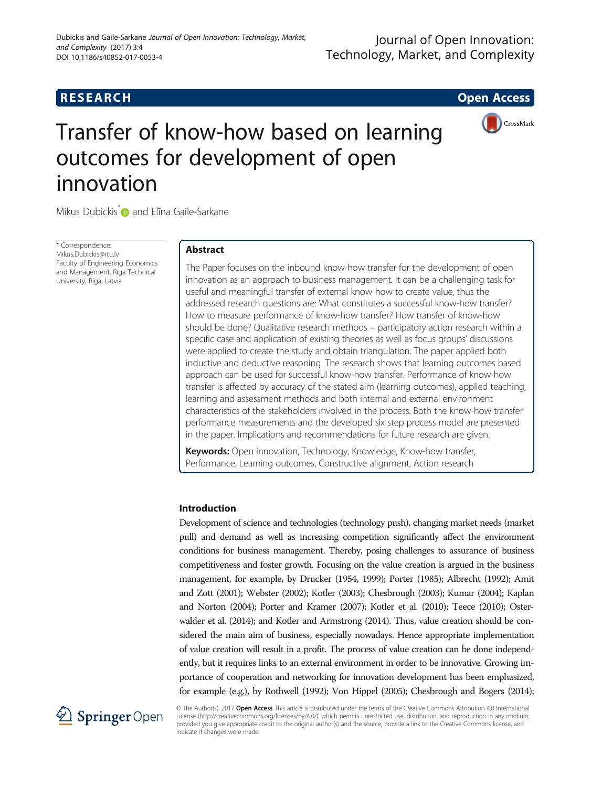## **RESEARCH RESEARCH CONSUMING ACCESS**



# Transfer of know-how based on learning outcomes for development of open innovation

Mikus Dubickis<sup>\*</sup> and Elīna Gaile-Sarkane

\* Correspondence: [Mikus.Dubickis@rtu.lv](mailto:Mikus.Dubickis@rtu.lv) Faculty of Engineering Economics and Management, Riga Technical University, Riga, Latvia

#### Abstract

The Paper focuses on the inbound know-how transfer for the development of open innovation as an approach to business management. It can be a challenging task for useful and meaningful transfer of external know-how to create value, thus the addressed research questions are: What constitutes a successful know-how transfer? How to measure performance of know-how transfer? How transfer of know-how should be done? Qualitative research methods – participatory action research within a specific case and application of existing theories as well as focus groups' discussions were applied to create the study and obtain triangulation. The paper applied both inductive and deductive reasoning. The research shows that learning outcomes based approach can be used for successful know-how transfer. Performance of know-how transfer is affected by accuracy of the stated aim (learning outcomes), applied teaching, learning and assessment methods and both internal and external environment characteristics of the stakeholders involved in the process. Both the know-how transfer performance measurements and the developed six step process model are presented in the paper. Implications and recommendations for future research are given.

Keywords: Open innovation, Technology, Knowledge, Know-how transfer, Performance, Learning outcomes, Constructive alignment, Action research

#### Introduction

Development of science and technologies (technology push), changing market needs (market pull) and demand as well as increasing competition significantly affect the environment conditions for business management. Thereby, posing challenges to assurance of business competitiveness and foster growth. Focusing on the value creation is argued in the business management, for example, by Drucker [\(1954](#page-16-0), [1999\)](#page-16-0); Porter [\(1985\)](#page-17-0); Albrecht [\(1992\)](#page-15-0); Amit and Zott [\(2001\)](#page-15-0); Webster [\(2002\)](#page-18-0); Kotler [\(2003\)](#page-16-0); Chesbrough [\(2003](#page-16-0)); Kumar [\(2004](#page-16-0)); Kaplan and Norton [\(2004](#page-16-0)); Porter and Kramer ([2007](#page-17-0)); Kotler et al. [\(2010\)](#page-17-0); Teece [\(2010\)](#page-16-0); Osterwalder et al. [\(2014\)](#page-17-0); and Kotler and Armstrong ([2014](#page-16-0)). Thus, value creation should be considered the main aim of business, especially nowadays. Hence appropriate implementation of value creation will result in a profit. The process of value creation can be done independently, but it requires links to an external environment in order to be innovative. Growing importance of cooperation and networking for innovation development has been emphasized, for example (e.g.), by Rothwell ([1992](#page-17-0)); Von Hippel [\(2005\)](#page-17-0); Chesbrough and Bogers [\(2014](#page-16-0));



© The Author(s). 2017 Open Access This article is distributed under the terms of the Creative Commons Attribution 4.0 International License [\(http://creativecommons.org/licenses/by/4.0/](http://creativecommons.org/licenses/by/4.0/)), which permits unrestricted use, distribution, and reproduction in any medium, provided you give appropriate credit to the original author(s) and the source, provide a link to the Creative Commons license, and indicate if changes were made.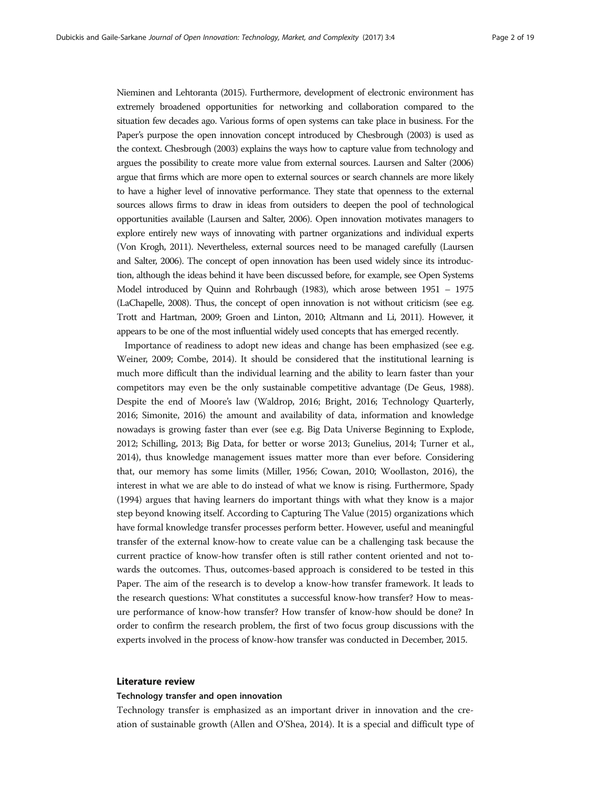Nieminen and Lehtoranta [\(2015\)](#page-17-0). Furthermore, development of electronic environment has extremely broadened opportunities for networking and collaboration compared to the situation few decades ago. Various forms of open systems can take place in business. For the Paper's purpose the open innovation concept introduced by Chesbrough [\(2003\)](#page-16-0) is used as the context. Chesbrough [\(2003](#page-16-0)) explains the ways how to capture value from technology and argues the possibility to create more value from external sources. Laursen and Salter [\(2006](#page-16-0)) argue that firms which are more open to external sources or search channels are more likely to have a higher level of innovative performance. They state that openness to the external sources allows firms to draw in ideas from outsiders to deepen the pool of technological opportunities available (Laursen and Salter, [2006\)](#page-16-0). Open innovation motivates managers to explore entirely new ways of innovating with partner organizations and individual experts (Von Krogh, [2011\)](#page-17-0). Nevertheless, external sources need to be managed carefully (Laursen and Salter, [2006](#page-16-0)). The concept of open innovation has been used widely since its introduction, although the ideas behind it have been discussed before, for example, see Open Systems Model introduced by Quinn and Rohrbaugh [\(1983\)](#page-17-0), which arose between 1951 – 1975 (LaChapelle, [2008\)](#page-16-0). Thus, the concept of open innovation is not without criticism (see e.g. Trott and Hartman, [2009](#page-17-0); Groen and Linton, [2010](#page-16-0); Altmann and Li, [2011](#page-15-0)). However, it appears to be one of the most influential widely used concepts that has emerged recently.

Importance of readiness to adopt new ideas and change has been emphasized (see e.g. Weiner, [2009](#page-18-0); Combe, [2014](#page-16-0)). It should be considered that the institutional learning is much more difficult than the individual learning and the ability to learn faster than your competitors may even be the only sustainable competitive advantage (De Geus, [1988](#page-16-0)). Despite the end of Moore's law (Waldrop, [2016;](#page-18-0) Bright, [2016](#page-15-0); Technology Quarterly, [2016;](#page-17-0) Simonite, [2016](#page-17-0)) the amount and availability of data, information and knowledge nowadays is growing faster than ever (see e.g. Big Data Universe Beginning to Explode, [2012;](#page-15-0) Schilling, [2013](#page-17-0); Big Data, for better or worse [2013](#page-15-0); Gunelius, [2014](#page-16-0); Turner et al., [2014\)](#page-17-0), thus knowledge management issues matter more than ever before. Considering that, our memory has some limits (Miller, [1956](#page-17-0); Cowan, [2010](#page-16-0); Woollaston, [2016\)](#page-18-0), the interest in what we are able to do instead of what we know is rising. Furthermore, Spady ([1994\)](#page-17-0) argues that having learners do important things with what they know is a major step beyond knowing itself. According to Capturing The Value [\(2015\)](#page-15-0) organizations which have formal knowledge transfer processes perform better. However, useful and meaningful transfer of the external know-how to create value can be a challenging task because the current practice of know-how transfer often is still rather content oriented and not towards the outcomes. Thus, outcomes-based approach is considered to be tested in this Paper. The aim of the research is to develop a know-how transfer framework. It leads to the research questions: What constitutes a successful know-how transfer? How to measure performance of know-how transfer? How transfer of know-how should be done? In order to confirm the research problem, the first of two focus group discussions with the experts involved in the process of know-how transfer was conducted in December, 2015.

#### Literature review

#### Technology transfer and open innovation

Technology transfer is emphasized as an important driver in innovation and the creation of sustainable growth (Allen and O'Shea, [2014\)](#page-15-0). It is a special and difficult type of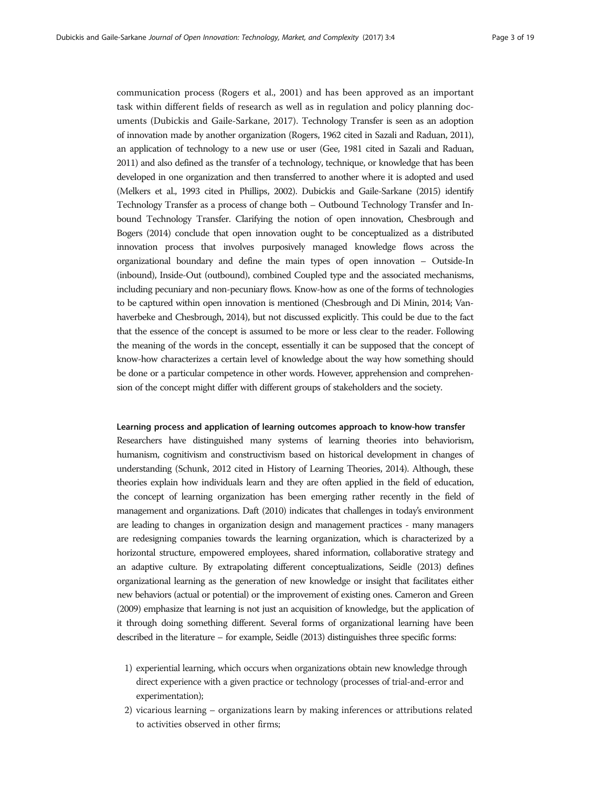communication process (Rogers et al., [2001\)](#page-17-0) and has been approved as an important task within different fields of research as well as in regulation and policy planning documents (Dubickis and Gaile-Sarkane, [2017](#page-16-0)). Technology Transfer is seen as an adoption of innovation made by another organization (Rogers, [1962](#page-17-0) cited in Sazali and Raduan, [2011\)](#page-17-0), an application of technology to a new use or user (Gee, [1981](#page-16-0) cited in Sazali and Raduan, [2011](#page-17-0)) and also defined as the transfer of a technology, technique, or knowledge that has been developed in one organization and then transferred to another where it is adopted and used (Melkers et al., [1993](#page-17-0) cited in Phillips, [2002\)](#page-17-0). Dubickis and Gaile-Sarkane ([2015](#page-16-0)) identify Technology Transfer as a process of change both – Outbound Technology Transfer and Inbound Technology Transfer. Clarifying the notion of open innovation, Chesbrough and Bogers ([2014](#page-16-0)) conclude that open innovation ought to be conceptualized as a distributed innovation process that involves purposively managed knowledge flows across the organizational boundary and define the main types of open innovation – Outside-In (inbound), Inside-Out (outbound), combined Coupled type and the associated mechanisms, including pecuniary and non-pecuniary flows. Know-how as one of the forms of technologies to be captured within open innovation is mentioned (Chesbrough and Di Minin, [2014;](#page-16-0) Vanhaverbeke and Chesbrough, [2014\)](#page-17-0), but not discussed explicitly. This could be due to the fact that the essence of the concept is assumed to be more or less clear to the reader. Following the meaning of the words in the concept, essentially it can be supposed that the concept of know-how characterizes a certain level of knowledge about the way how something should be done or a particular competence in other words. However, apprehension and comprehension of the concept might differ with different groups of stakeholders and the society.

#### Learning process and application of learning outcomes approach to know-how transfer

Researchers have distinguished many systems of learning theories into behaviorism, humanism, cognitivism and constructivism based on historical development in changes of understanding (Schunk, [2012](#page-17-0) cited in History of Learning Theories, [2014](#page-16-0)). Although, these theories explain how individuals learn and they are often applied in the field of education, the concept of learning organization has been emerging rather recently in the field of management and organizations. Daft [\(2010\)](#page-16-0) indicates that challenges in today's environment are leading to changes in organization design and management practices - many managers are redesigning companies towards the learning organization, which is characterized by a horizontal structure, empowered employees, shared information, collaborative strategy and an adaptive culture. By extrapolating different conceptualizations, Seidle [\(2013](#page-17-0)) defines organizational learning as the generation of new knowledge or insight that facilitates either new behaviors (actual or potential) or the improvement of existing ones. Cameron and Green ([2009](#page-15-0)) emphasize that learning is not just an acquisition of knowledge, but the application of it through doing something different. Several forms of organizational learning have been described in the literature – for example, Seidle [\(2013\)](#page-17-0) distinguishes three specific forms:

- 1) experiential learning, which occurs when organizations obtain new knowledge through direct experience with a given practice or technology (processes of trial-and-error and experimentation);
- 2) vicarious learning organizations learn by making inferences or attributions related to activities observed in other firms;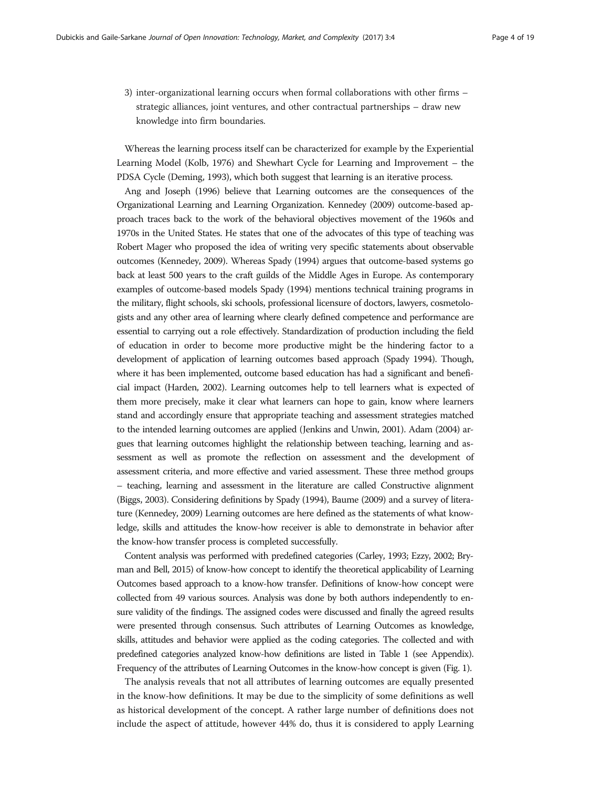3) inter-organizational learning occurs when formal collaborations with other firms – strategic alliances, joint ventures, and other contractual partnerships – draw new knowledge into firm boundaries.

Whereas the learning process itself can be characterized for example by the Experiential Learning Model (Kolb, [1976](#page-16-0)) and Shewhart Cycle for Learning and Improvement – the PDSA Cycle (Deming, [1993](#page-16-0)), which both suggest that learning is an iterative process.

Ang and Joseph ([1996\)](#page-15-0) believe that Learning outcomes are the consequences of the Organizational Learning and Learning Organization. Kennedey ([2009\)](#page-16-0) outcome-based approach traces back to the work of the behavioral objectives movement of the 1960s and 1970s in the United States. He states that one of the advocates of this type of teaching was Robert Mager who proposed the idea of writing very specific statements about observable outcomes (Kennedey, [2009](#page-16-0)). Whereas Spady ([1994\)](#page-17-0) argues that outcome-based systems go back at least 500 years to the craft guilds of the Middle Ages in Europe. As contemporary examples of outcome-based models Spady [\(1994](#page-17-0)) mentions technical training programs in the military, flight schools, ski schools, professional licensure of doctors, lawyers, cosmetologists and any other area of learning where clearly defined competence and performance are essential to carrying out a role effectively. Standardization of production including the field of education in order to become more productive might be the hindering factor to a development of application of learning outcomes based approach (Spady [1994](#page-17-0)). Though, where it has been implemented, outcome based education has had a significant and beneficial impact (Harden, [2002\)](#page-16-0). Learning outcomes help to tell learners what is expected of them more precisely, make it clear what learners can hope to gain, know where learners stand and accordingly ensure that appropriate teaching and assessment strategies matched to the intended learning outcomes are applied (Jenkins and Unwin, [2001](#page-16-0)). Adam ([2004\)](#page-15-0) argues that learning outcomes highlight the relationship between teaching, learning and assessment as well as promote the reflection on assessment and the development of assessment criteria, and more effective and varied assessment. These three method groups – teaching, learning and assessment in the literature are called Constructive alignment (Biggs, [2003](#page-15-0)). Considering definitions by Spady ([1994](#page-17-0)), Baume [\(2009](#page-15-0)) and a survey of literature (Kennedey, [2009](#page-16-0)) Learning outcomes are here defined as the statements of what knowledge, skills and attitudes the know-how receiver is able to demonstrate in behavior after the know-how transfer process is completed successfully.

Content analysis was performed with predefined categories (Carley, [1993;](#page-16-0) Ezzy, [2002;](#page-16-0) Bryman and Bell, [2015](#page-15-0)) of know-how concept to identify the theoretical applicability of Learning Outcomes based approach to a know-how transfer. Definitions of know-how concept were collected from 49 various sources. Analysis was done by both authors independently to ensure validity of the findings. The assigned codes were discussed and finally the agreed results were presented through consensus. Such attributes of Learning Outcomes as knowledge, skills, attitudes and behavior were applied as the coding categories. The collected and with predefined categories analyzed know-how definitions are listed in Table 1 (see Appendix). Frequency of the attributes of Learning Outcomes in the know-how concept is given (Fig. [1\)](#page-4-0).

The analysis reveals that not all attributes of learning outcomes are equally presented in the know-how definitions. It may be due to the simplicity of some definitions as well as historical development of the concept. A rather large number of definitions does not include the aspect of attitude, however 44% do, thus it is considered to apply Learning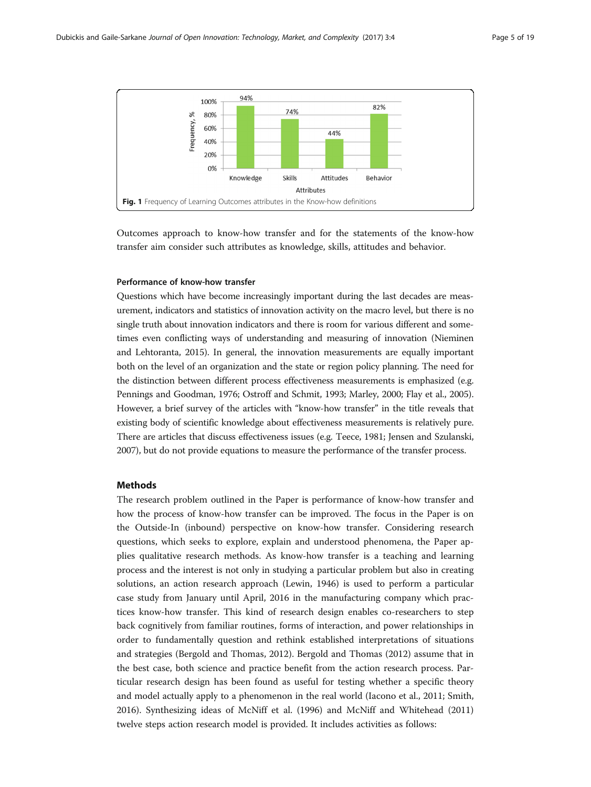<span id="page-4-0"></span>

Outcomes approach to know-how transfer and for the statements of the know-how transfer aim consider such attributes as knowledge, skills, attitudes and behavior.

#### Performance of know-how transfer

Questions which have become increasingly important during the last decades are measurement, indicators and statistics of innovation activity on the macro level, but there is no single truth about innovation indicators and there is room for various different and sometimes even conflicting ways of understanding and measuring of innovation (Nieminen and Lehtoranta, [2015\)](#page-17-0). In general, the innovation measurements are equally important both on the level of an organization and the state or region policy planning. The need for the distinction between different process effectiveness measurements is emphasized (e.g. Pennings and Goodman, [1976;](#page-17-0) Ostroff and Schmit, [1993;](#page-17-0) Marley, [2000](#page-17-0); Flay et al., [2005](#page-16-0)). However, a brief survey of the articles with "know-how transfer" in the title reveals that existing body of scientific knowledge about effectiveness measurements is relatively pure. There are articles that discuss effectiveness issues (e.g. Teece, [1981](#page-17-0); Jensen and Szulanski, [2007\)](#page-16-0), but do not provide equations to measure the performance of the transfer process.

#### Methods

The research problem outlined in the Paper is performance of know-how transfer and how the process of know-how transfer can be improved. The focus in the Paper is on the Outside-In (inbound) perspective on know-how transfer. Considering research questions, which seeks to explore, explain and understood phenomena, the Paper applies qualitative research methods. As know-how transfer is a teaching and learning process and the interest is not only in studying a particular problem but also in creating solutions, an action research approach (Lewin, [1946\)](#page-17-0) is used to perform a particular case study from January until April, 2016 in the manufacturing company which practices know-how transfer. This kind of research design enables co-researchers to step back cognitively from familiar routines, forms of interaction, and power relationships in order to fundamentally question and rethink established interpretations of situations and strategies (Bergold and Thomas, [2012](#page-15-0)). Bergold and Thomas ([2012](#page-15-0)) assume that in the best case, both science and practice benefit from the action research process. Particular research design has been found as useful for testing whether a specific theory and model actually apply to a phenomenon in the real world (Iacono et al., [2011](#page-16-0); Smith, [2016](#page-17-0)). Synthesizing ideas of McNiff et al. [\(1996](#page-17-0)) and McNiff and Whitehead ([2011](#page-17-0)) twelve steps action research model is provided. It includes activities as follows: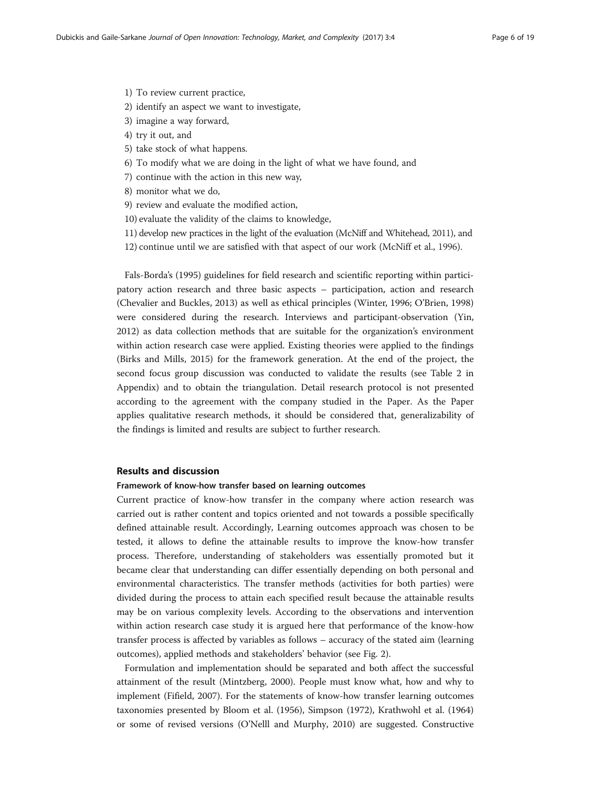- 1) To review current practice,
- 2) identify an aspect we want to investigate,
- 3) imagine a way forward,
- 4) try it out, and
- 5) take stock of what happens.
- 6) To modify what we are doing in the light of what we have found, and
- 7) continue with the action in this new way,
- 8) monitor what we do,
- 9) review and evaluate the modified action,
- 10) evaluate the validity of the claims to knowledge,
- 11) develop new practices in the light of the evaluation (McNiff and Whitehead, [2011](#page-17-0)), and
- 12) continue until we are satisfied with that aspect of our work (McNiff et al., [1996\)](#page-17-0).

Fals-Borda's [\(1995\)](#page-16-0) guidelines for field research and scientific reporting within participatory action research and three basic aspects – participation, action and research (Chevalier and Buckles, [2013](#page-16-0)) as well as ethical principles (Winter, [1996](#page-18-0); O'Brien, [1998](#page-17-0)) were considered during the research. Interviews and participant-observation (Yin, [2012](#page-18-0)) as data collection methods that are suitable for the organization's environment within action research case were applied. Existing theories were applied to the findings (Birks and Mills, [2015\)](#page-15-0) for the framework generation. At the end of the project, the second focus group discussion was conducted to validate the results (see Table 2 in Appendix) and to obtain the triangulation. Detail research protocol is not presented according to the agreement with the company studied in the Paper. As the Paper applies qualitative research methods, it should be considered that, generalizability of the findings is limited and results are subject to further research.

#### Results and discussion

#### Framework of know-how transfer based on learning outcomes

Current practice of know-how transfer in the company where action research was carried out is rather content and topics oriented and not towards a possible specifically defined attainable result. Accordingly, Learning outcomes approach was chosen to be tested, it allows to define the attainable results to improve the know-how transfer process. Therefore, understanding of stakeholders was essentially promoted but it became clear that understanding can differ essentially depending on both personal and environmental characteristics. The transfer methods (activities for both parties) were divided during the process to attain each specified result because the attainable results may be on various complexity levels. According to the observations and intervention within action research case study it is argued here that performance of the know-how transfer process is affected by variables as follows – accuracy of the stated aim (learning outcomes), applied methods and stakeholders' behavior (see Fig. [2\)](#page-6-0).

Formulation and implementation should be separated and both affect the successful attainment of the result (Mintzberg, [2000](#page-17-0)). People must know what, how and why to implement (Fifield, [2007\)](#page-16-0). For the statements of know-how transfer learning outcomes taxonomies presented by Bloom et al. [\(1956\)](#page-15-0), Simpson ([1972](#page-17-0)), Krathwohl et al. ([1964](#page-16-0)) or some of revised versions (O'Nelll and Murphy, [2010](#page-17-0)) are suggested. Constructive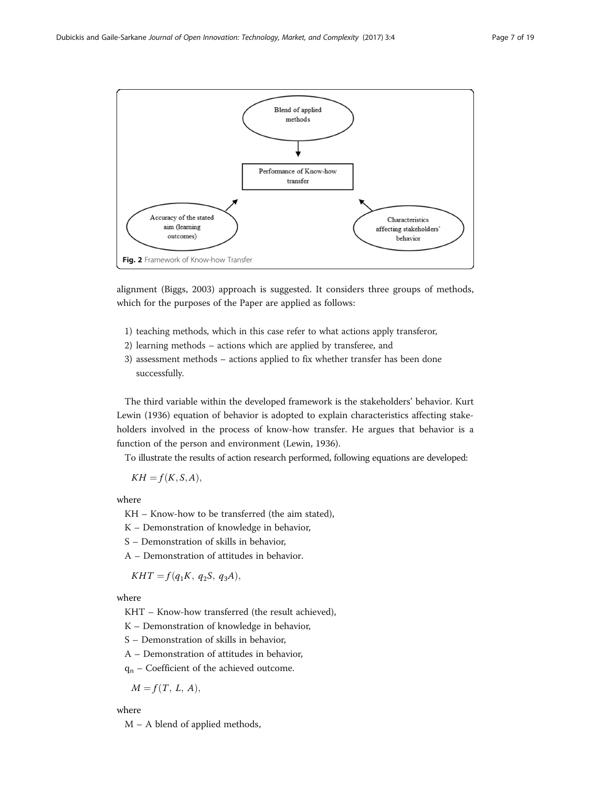<span id="page-6-0"></span>

alignment (Biggs, [2003](#page-15-0)) approach is suggested. It considers three groups of methods, which for the purposes of the Paper are applied as follows:

- 1) teaching methods, which in this case refer to what actions apply transferor,
- 2) learning methods actions which are applied by transferee, and
- 3) assessment methods actions applied to fix whether transfer has been done successfully.

The third variable within the developed framework is the stakeholders' behavior. Kurt Lewin ([1936](#page-16-0)) equation of behavior is adopted to explain characteristics affecting stakeholders involved in the process of know-how transfer. He argues that behavior is a function of the person and environment (Lewin, [1936\)](#page-16-0).

To illustrate the results of action research performed, following equations are developed:

 $KH = f(K, S, A),$ 

where

KH – Know-how to be transferred (the aim stated),

K – Demonstration of knowledge in behavior,

S – Demonstration of skills in behavior,

A – Demonstration of attitudes in behavior.

 $KHT = f(q_1K, q_2S, q_3A),$ 

where

KHT – Know-how transferred (the result achieved),

K – Demonstration of knowledge in behavior,

S – Demonstration of skills in behavior,

A – Demonstration of attitudes in behavior,

 $q_n$  – Coefficient of the achieved outcome.

 $M = f(T, L, A),$ 

where

M – A blend of applied methods,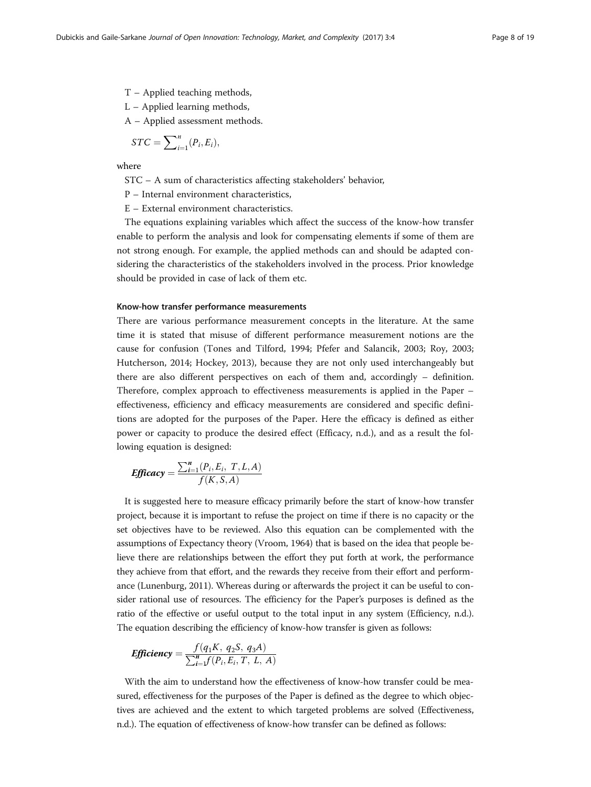- T Applied teaching methods,
- L Applied learning methods,

A – Applied assessment methods.

$$
STC = \sum_{i=1}^{n} (P_i, E_i),
$$

where

- STC A sum of characteristics affecting stakeholders' behavior,
- P Internal environment characteristics,
- E External environment characteristics.

The equations explaining variables which affect the success of the know-how transfer enable to perform the analysis and look for compensating elements if some of them are not strong enough. For example, the applied methods can and should be adapted considering the characteristics of the stakeholders involved in the process. Prior knowledge should be provided in case of lack of them etc.

#### Know-how transfer performance measurements

There are various performance measurement concepts in the literature. At the same time it is stated that misuse of different performance measurement notions are the cause for confusion (Tones and Tilford, [1994](#page-17-0); Pfefer and Salancik, [2003](#page-17-0); Roy, [2003](#page-17-0); Hutcherson, [2014](#page-16-0); Hockey, [2013](#page-16-0)), because they are not only used interchangeably but there are also different perspectives on each of them and, accordingly – definition. Therefore, complex approach to effectiveness measurements is applied in the Paper – effectiveness, efficiency and efficacy measurements are considered and specific definitions are adopted for the purposes of the Paper. Here the efficacy is defined as either power or capacity to produce the desired effect ([Efficacy, n.d.\)](#page-16-0), and as a result the following equation is designed:

$$
Efficacy = \frac{\sum_{i=1}^{n} (P_i, E_i, T, L, A)}{f(K, S, A)}
$$

It is suggested here to measure efficacy primarily before the start of know-how transfer project, because it is important to refuse the project on time if there is no capacity or the set objectives have to be reviewed. Also this equation can be complemented with the assumptions of Expectancy theory (Vroom, [1964](#page-17-0)) that is based on the idea that people believe there are relationships between the effort they put forth at work, the performance they achieve from that effort, and the rewards they receive from their effort and performance (Lunenburg, [2011\)](#page-17-0). Whereas during or afterwards the project it can be useful to consider rational use of resources. The efficiency for the Paper's purposes is defined as the ratio of the effective or useful output to the total input in any system ([Efficiency, n.d.](#page-16-0)). The equation describing the efficiency of know-how transfer is given as follows:

*Efficiency* = 
$$
\frac{f(q_1K, q_2S, q_3A)}{\sum_{i=1}^{n} f(P_i, E_i, T, L, A)}
$$

With the aim to understand how the effectiveness of know-how transfer could be measured, effectiveness for the purposes of the Paper is defined as the degree to which objectives are achieved and the extent to which targeted problems are solved [\(Effectiveness,](#page-16-0) [n.d.](#page-16-0)). The equation of effectiveness of know-how transfer can be defined as follows: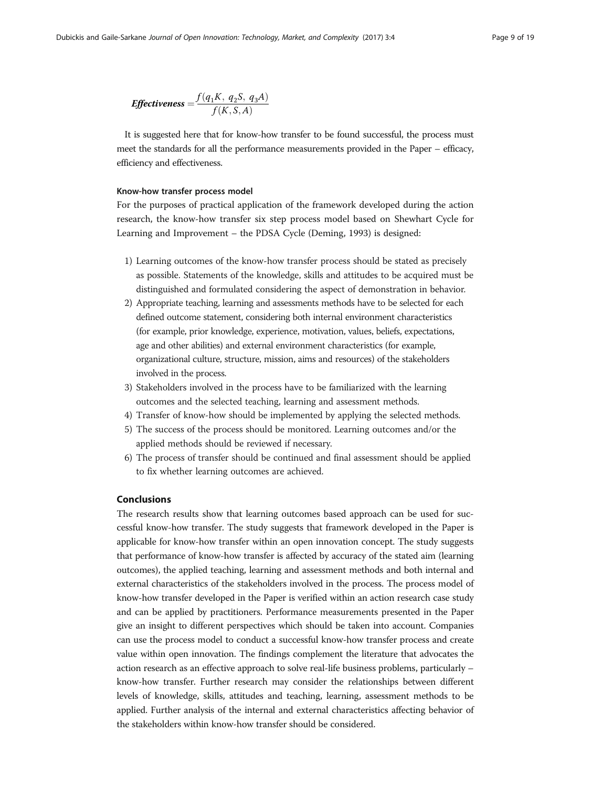$$
\textit{Effectiveness} = \frac{f(q_1K, q_2S, q_3A)}{f(K, S, A)}
$$

It is suggested here that for know-how transfer to be found successful, the process must meet the standards for all the performance measurements provided in the Paper – efficacy, efficiency and effectiveness.

#### Know-how transfer process model

For the purposes of practical application of the framework developed during the action research, the know-how transfer six step process model based on Shewhart Cycle for Learning and Improvement – the PDSA Cycle (Deming, [1993](#page-16-0)) is designed:

- 1) Learning outcomes of the know-how transfer process should be stated as precisely as possible. Statements of the knowledge, skills and attitudes to be acquired must be distinguished and formulated considering the aspect of demonstration in behavior.
- 2) Appropriate teaching, learning and assessments methods have to be selected for each defined outcome statement, considering both internal environment characteristics (for example, prior knowledge, experience, motivation, values, beliefs, expectations, age and other abilities) and external environment characteristics (for example, organizational culture, structure, mission, aims and resources) of the stakeholders involved in the process.
- 3) Stakeholders involved in the process have to be familiarized with the learning outcomes and the selected teaching, learning and assessment methods.
- 4) Transfer of know-how should be implemented by applying the selected methods.
- 5) The success of the process should be monitored. Learning outcomes and/or the applied methods should be reviewed if necessary.
- 6) The process of transfer should be continued and final assessment should be applied to fix whether learning outcomes are achieved.

#### Conclusions

The research results show that learning outcomes based approach can be used for successful know-how transfer. The study suggests that framework developed in the Paper is applicable for know-how transfer within an open innovation concept. The study suggests that performance of know-how transfer is affected by accuracy of the stated aim (learning outcomes), the applied teaching, learning and assessment methods and both internal and external characteristics of the stakeholders involved in the process. The process model of know-how transfer developed in the Paper is verified within an action research case study and can be applied by practitioners. Performance measurements presented in the Paper give an insight to different perspectives which should be taken into account. Companies can use the process model to conduct a successful know-how transfer process and create value within open innovation. The findings complement the literature that advocates the action research as an effective approach to solve real-life business problems, particularly – know-how transfer. Further research may consider the relationships between different levels of knowledge, skills, attitudes and teaching, learning, assessment methods to be applied. Further analysis of the internal and external characteristics affecting behavior of the stakeholders within know-how transfer should be considered.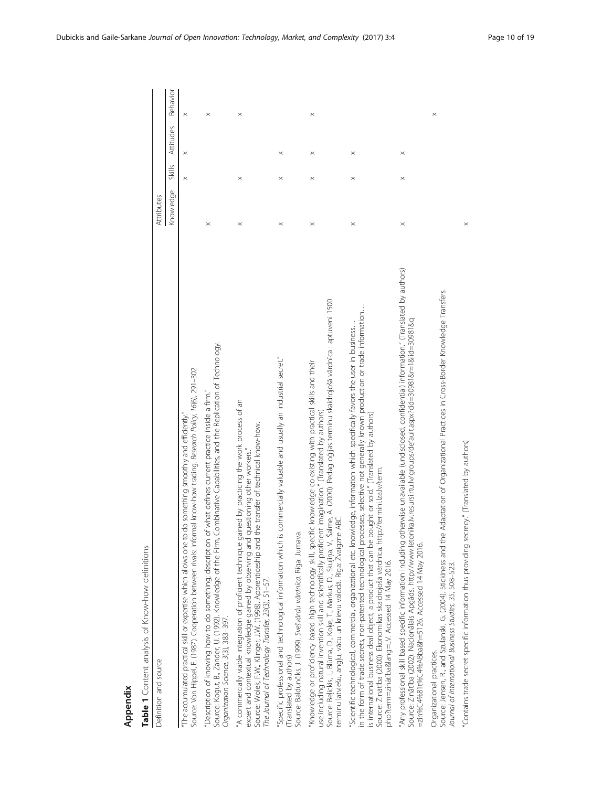| Table 1 Content analysis of Know-how definitions                                                                                                                                                                                                                                                                                                                                                                                                                                                                        |                   |          |           |                 |
|-------------------------------------------------------------------------------------------------------------------------------------------------------------------------------------------------------------------------------------------------------------------------------------------------------------------------------------------------------------------------------------------------------------------------------------------------------------------------------------------------------------------------|-------------------|----------|-----------|-----------------|
| Definition and source                                                                                                                                                                                                                                                                                                                                                                                                                                                                                                   | <b>Attributes</b> |          |           |                 |
|                                                                                                                                                                                                                                                                                                                                                                                                                                                                                                                         | Knowledge         | Skills   | Attitudes | <b>Behavior</b> |
| Source: Von Hippel, E. (1987). Cooperation between rivals: Informal know-how trading. Research Policy, 16(6), 291-302.<br>"The accumulated practical skill or expertise which allows one to do something smoothly and efficiently."                                                                                                                                                                                                                                                                                     |                   | $\times$ | $\times$  | $\times$        |
| Source: Kogut, B., Zander, U. (1992). Knowledge of the Firm, Combinative Capabilities, and the Replication of Technology.<br>'Description of knowing how to do something; description of what defines current practice inside a firm."<br>Organization Science, 3(3), 383-397.                                                                                                                                                                                                                                          | $\times$          |          |           | $\times$        |
| ned by practicing the work process of an<br>Source: Wolek, F.W., Klinger, J.W. (1998). Apprenticeship and the transfer of technical know-how.<br>expert and contextual knowledge gained by observing and questioning other workers."<br>'A commercially viable integration of proficient technique gair<br>The Journal of Technology Transfer, 23(3), 51–57.                                                                                                                                                            | $\times$          | $\times$ |           | $\times$        |
| "Specific professional and technological information which is commercially valuable and usually an industrial secret."<br>Source: Baldunčiks, J. (1999). Svešvārdu vārdnīca. Rīga: Jumava.<br>(Translated by authors)                                                                                                                                                                                                                                                                                                   | $\times$          | $\times$ | $\times$  |                 |
| Source: Bejickis, I., Blūma, D., Koķe, T., Markus, D., Skujīņa, V., Šalme, A. (2000). Pedag oģijas terminu skaidrojošā vārdnīca : aptuveni 1500<br>'Knowledge or proficiency based high technology skill, specific knowledge co-existing with practical skills and their<br>use including natural invention skill and scientifically proficient imagination." (Translated by authors)<br>ierminu latviešu, angju, vācu un krievu valodā. Rīga: Zvaigzne ABC.                                                            | $\times$          | $\times$ | $\times$  | $\times$        |
| in the form of trade secrets, non-patented technological processes, selective not generally known production or trade information<br>"Scientific technological, commercial, organizational etc. knowledge, information which specifically favors the user in business<br>is international business deal object, a product that can be bought or sold." (Translated by authors)<br>Source: Zinātība (2000). Ekonomikas skaidrojošā vārdnīca. http://termini.lza.lv/term.<br>php?term=zinātība⟨=LV. Accessed 14 May 2016. | $\times$          | $\times$ | $\times$  |                 |
| "Any professional skill based specific information including otherwise unavailable (undisclosed, confidential) information." (Translated by authors)<br>Source: Zinātība (2002). Nacionālais Apgāds. http://www.letonika.lv.resursi.rtu.lv/groups/default.aspx?cid=30981&r=1&lid=30981&q<br>=zin%C4%81t%C4%ABba&h=5126. Accessed 14 May 2016.                                                                                                                                                                           | $\times$          | $\times$ | $\times$  |                 |
| Source: Jensen, R., and Szulanski, G. (2004). Stickiness and the Adaptation of Organizational Practices in Cross-Border Knowledge Transfers.<br>Journal of International Business Studies, 35, 508–523.<br>Organizational practices.                                                                                                                                                                                                                                                                                    |                   |          |           | $\times$        |
| "Contains trade secret specific information thus providing secrecy." (Translated by authors)                                                                                                                                                                                                                                                                                                                                                                                                                            | $\times$          |          |           |                 |

Appendix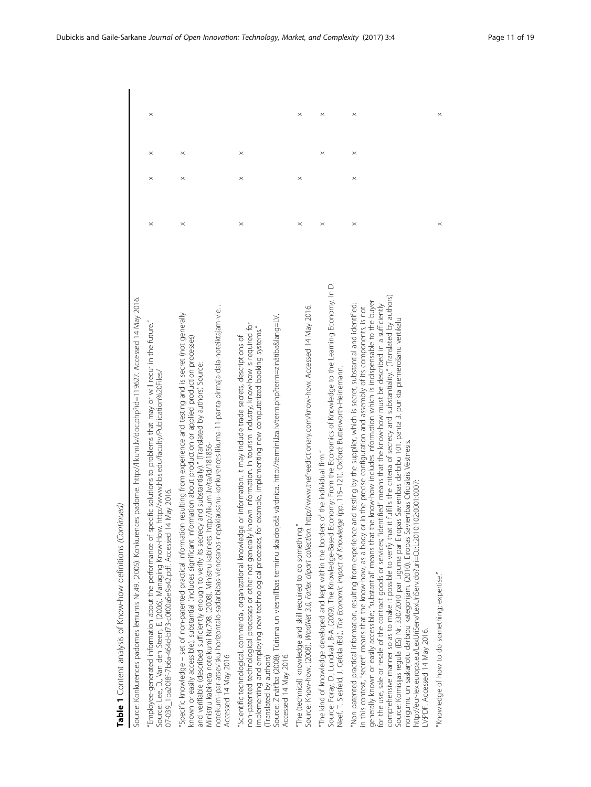| l                    |
|----------------------|
| Į                    |
|                      |
| ١                    |
|                      |
|                      |
| I                    |
|                      |
| ļ                    |
|                      |
|                      |
|                      |
|                      |
| ¢                    |
|                      |
| ī                    |
|                      |
|                      |
| Í                    |
| ֕                    |
| ļ                    |
| ۱                    |
|                      |
|                      |
| I                    |
| j                    |
|                      |
| í                    |
| ١                    |
| Ò                    |
| Ç<br>J               |
|                      |
| l                    |
| $\ddot{\phantom{a}}$ |
|                      |
| S                    |
| Ó                    |
|                      |
|                      |
| ļ                    |
|                      |
| י<br>ו               |
| ļ                    |
| I                    |
|                      |
|                      |
|                      |
|                      |
|                      |
|                      |
| l                    |
|                      |
|                      |
|                      |
|                      |

| rences padome. http://likumi.lv/doc.php?id=119627. Accessed 14 May 2016.<br>Source: Konkurences padomes lēmums Nr.49. (2005). Konkur                                                                                                                                                                                                                                                                                                                                                                                                                                                                                                                                                                                                                                                                                                                                                                                                                                                                                                                                             |                      |                      |          |  |
|----------------------------------------------------------------------------------------------------------------------------------------------------------------------------------------------------------------------------------------------------------------------------------------------------------------------------------------------------------------------------------------------------------------------------------------------------------------------------------------------------------------------------------------------------------------------------------------------------------------------------------------------------------------------------------------------------------------------------------------------------------------------------------------------------------------------------------------------------------------------------------------------------------------------------------------------------------------------------------------------------------------------------------------------------------------------------------|----------------------|----------------------|----------|--|
| "Employee-generated information about the performance of specific solutions to problems that may or will recur in the future."<br>Source: Lee, D., Van den Steen, E. (2006). Managing Know-How. http://www.hbs.edu/faculty/Publication%20Files/<br>07-039_1ba20f8f-7b6a-464d-bf73-c0f00a5e9a42.pdf. Accessed 14 May 2016.                                                                                                                                                                                                                                                                                                                                                                                                                                                                                                                                                                                                                                                                                                                                                        | $\times$             | $\times$<br>$\times$ | $\times$ |  |
| iepaklausanu-konkurences-likuma-11-panta-pirmaja-dala-noteiktajam-vie<br>"Specific knowledge – set of non-patented practical information resulting from experience and testing and is secret (not generally<br>known or easily accessible), substantial (includes significant information about production or applied production processes)<br>and verifiable (described sufficiently enough to verify its secrecy and substantially)." (Translated by authors) Source:<br>Ministru kabineta noteikumi Nr.798. (2008). Ministru kabinets. http://likumi.lv/ta/id/181856-<br>noteikumi-par-atsevisku-horizontalo-sadarbibas-vienosanos-r<br>Accessed 14 May 2016.                                                                                                                                                                                                                                                                                                                                                                                                                 | $\times$<br>$\times$ | $\times$             |          |  |
| Source: Zinātība (2008). Tūrisma un viesmilības terminu skaidrojošā vārdnīca. http://termini.lzal.Vr.term.php?term=zinātība⟨=LV.<br>non-patented technological processes or other not generally known information. In tourism industry, know-how is required for<br>for example, implementing new computerized booking systems."<br>"Scientific technological, commercial, organizational knowledge or information. It may include trade secrets, descriptions of<br>implementing and employing new technological processes,<br>Accessed 14 May 2016.<br>(Translated by authors)                                                                                                                                                                                                                                                                                                                                                                                                                                                                                                 | $\times$             | $\times$<br>$\times$ |          |  |
| Source: Know-how. (2008). WordNet 3.0, Farlex clipart collection. http://www.thefreedictionary.com/know-how. Accessed 14 May 2016.<br>"The (technical) knowledge and skill required to do something."                                                                                                                                                                                                                                                                                                                                                                                                                                                                                                                                                                                                                                                                                                                                                                                                                                                                            | $\times$             | $\times$             | $\times$ |  |
| Source: Foray, D., Lundvall, B-A. (2009). The Knowledge-Based Economy: From the Economics of Knowledge to the Learning Economy. In D.<br>Neef, T. Siesfeld, J. Cefola (Ed.), The Economic Impact of Knowledge (pp. 115-121). Oxford: Butterworth-Heinemann.<br>The kind of knowledge developed and kept within the borders of the individual firm."                                                                                                                                                                                                                                                                                                                                                                                                                                                                                                                                                                                                                                                                                                                              | $\times$             | $\times$             |          |  |
| comprehensive manner so as to make it possible to verify that it fulfills the criteria of secrecy and substantiality." (Translated by authors)<br>generally known or easily accessible; "substantial" means that the know-how includes information which is indispensable to the buyer<br>Non-patented practical information, resulting from experience and testing by the supplier, which is secret, substantial and identified:<br>"identified" means that the know-how must be described in a sufficiently<br>in this context, "secret" means that the know-how, as a body or in the precise configuration and assembly of its components, is not<br>Source: Komisijas regula (ES) Nr. 330/2010 par Līguma par Eiropas Savienības darbību 101. panta 3. punkta piemērošanu vertikālu<br>Savienības Oficiālais Vēstnesis.<br>010:102:0001:0007<br>nolīgumu un saskaņotu darbību kategorijām. (2010). Eiropas<br>for the use, sale or resale of the contract goods or services;<br>http://eur-lex.europa.eu/LexUriServ/LexUriServ.do?uri=OJ:L:2u<br>VPDF. Accessed 14 May 2016. | $\times$             | $\times$<br>$\times$ | $\times$ |  |
| "Knowledge of how to do something; expertise."                                                                                                                                                                                                                                                                                                                                                                                                                                                                                                                                                                                                                                                                                                                                                                                                                                                                                                                                                                                                                                   |                      |                      |          |  |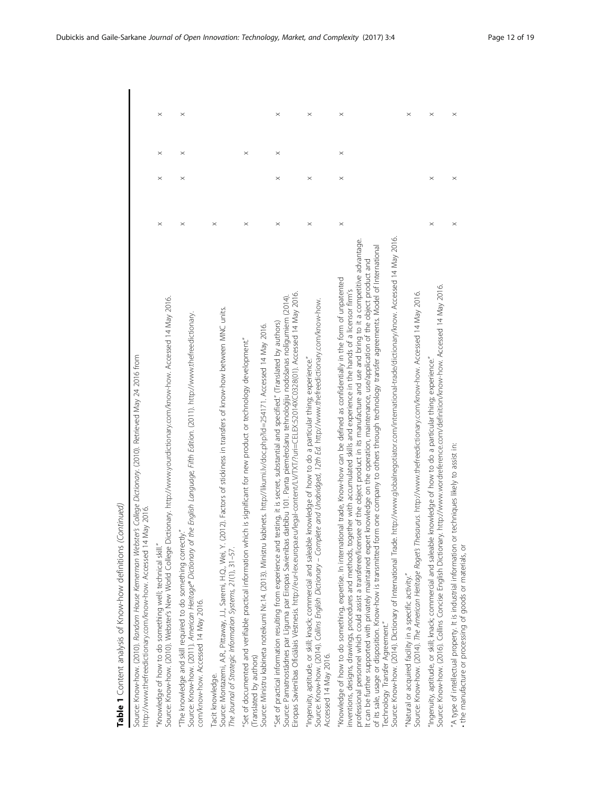| i<br>۱        |
|---------------|
|               |
| ١             |
| ۱             |
| I<br>ļ        |
|               |
| $\frac{1}{2}$ |
| ĺ             |
| ī             |
|               |
| i             |
|               |
| ļ             |
|               |
| ¢<br>١        |
| ١             |
|               |
|               |
|               |
| í             |
| i             |
| I             |
|               |
|               |
|               |
|               |

| Source: Know-how. (2010). <i>Random House Kernerman Webster's College Dictionary.</i> (2010). Retrieved May 24 2016 from<br>http://www.thefreedictionary.com/know-how. Accessed 14 May 2016.                                                                                                                                                                                                                                                                                                                                                                                                                                                                                                                                                                                                                                                                                                                                                                    |          |          |          |          |
|-----------------------------------------------------------------------------------------------------------------------------------------------------------------------------------------------------------------------------------------------------------------------------------------------------------------------------------------------------------------------------------------------------------------------------------------------------------------------------------------------------------------------------------------------------------------------------------------------------------------------------------------------------------------------------------------------------------------------------------------------------------------------------------------------------------------------------------------------------------------------------------------------------------------------------------------------------------------|----------|----------|----------|----------|
| Source: Know-how. (2010). Webster's New World Gollege Dictionary. http://www.yourdictionary.com/know-how. Accessed 14 May 2016.<br>'Knowledge of how to do something well; technical skill."                                                                                                                                                                                                                                                                                                                                                                                                                                                                                                                                                                                                                                                                                                                                                                    | $\times$ | $\times$ | $\times$ | $\times$ |
| Source: Know-how. (2011). American Heritage® Dictionary of the English Language, Fifth Edition. (2011). http://www.thefreedictionary.<br>"The knowledge and skill required to do something correctly."<br>com/know-how. Accessed 14 May 2016.                                                                                                                                                                                                                                                                                                                                                                                                                                                                                                                                                                                                                                                                                                                   | $\times$ | $\times$ | $\times$ | $\times$ |
| Source: Montazemi, A.R., Pittaway, J.J., Saremi, H.Q., Wei, Y. (2012). Factors of stickiness in transfers of know-how between MNC units.<br>The Journal of Strategic Information Systems, 21(1), 31–57.<br>Tacit knowledge.                                                                                                                                                                                                                                                                                                                                                                                                                                                                                                                                                                                                                                                                                                                                     | $\times$ |          |          |          |
| Source: Ministru kabineta noteikumi Nr.14. (2013). Ministru kabinets. http://likumi.lv/doc.php?id=254171. Accessed 14 May 2016.<br>"Set of documented and verifiable practical information which is significant for new product or technology development."<br>(Translated by authors)                                                                                                                                                                                                                                                                                                                                                                                                                                                                                                                                                                                                                                                                          | $\times$ |          | $\times$ |          |
| Eiropas Savienības Oficiālais Vēstnesis. http://eur-lex.europa.eu/legal-content/LV/TXT/?uri=CELEX:52014XC0328(01). Accessed 14 May 2016.<br>Source: Pamatnostādnes par Līguma par Eiropas Savienības darbību 101. Panta piemērošanu tehnoloģiju nodošanas nolīgumiem (2014).<br>resting, it is secret, substantial and specified." (Translated by authors)<br>"Set of practical information resulting from experience and t                                                                                                                                                                                                                                                                                                                                                                                                                                                                                                                                     | $\times$ | $\times$ | $\times$ | $\times$ |
| Source: Know-how. (2014). Collins English Dictionary – Complete and Unabridged, 12th Ed. http://www.thefreedictionary.com/know-how.<br>"Ingenuity, aptitude, or skill; knack; commercial and saleable knowledge of how to do a particular thing; experience."<br>Accessed 14 May 2016.                                                                                                                                                                                                                                                                                                                                                                                                                                                                                                                                                                                                                                                                          | $\times$ | $\times$ |          | $\times$ |
| Source: Know-how. (2014). Dictionary of International Trade. http://www.globalnegotiator.com/international-trade/dictionary/know. Accessed 14 May 2016.<br>professional personnel which could assist a transferee/licensee of the object product in its manufacture and use and bring to it a competitive advantage.<br>m one company to others through technology transfer agreements. Model of International<br>it can be further supported with privately maintained expert knowledge on the operation, maintenance, use/application of the object product and<br>'Knowledge of how to do something, expertise. In international trade, Know-how can be defined as confidentially in the form of unpatented<br>inventions, designs, drawings, procedures and methods, together with accumulated skills and experience in the hands of a licensor firm's<br>of its sale, usage or disposition. Know-how is transmitted for<br>Technology Transfer Agreement." | $\times$ | $\times$ | $\times$ | $\times$ |
| Source: Know-how. (2014). The American Heritage Roget's Thesaurus. http://www.thefreedictionary.com/know-how. Accessed 14 May 2016.<br>"Natural or acquired facility in a specific activity."                                                                                                                                                                                                                                                                                                                                                                                                                                                                                                                                                                                                                                                                                                                                                                   |          |          |          | $\times$ |
| Source: Know-how. (2016). Collins Concise English Dictionary. http://www.wordreference.com/definition/know-how. Accessed 14 May 2016.<br>knowledge of how to do a particular thing; experience."<br>"Ingenuity, aptitude, or skill; knack; commercial and saleable                                                                                                                                                                                                                                                                                                                                                                                                                                                                                                                                                                                                                                                                                              | $\times$ | $\times$ |          | $\times$ |
| "A type of intellectual property. It is industrial information or techniques likely to assist in:<br>the manufacture or processing of goods or materials, or                                                                                                                                                                                                                                                                                                                                                                                                                                                                                                                                                                                                                                                                                                                                                                                                    | ×        | $\times$ |          | $\times$ |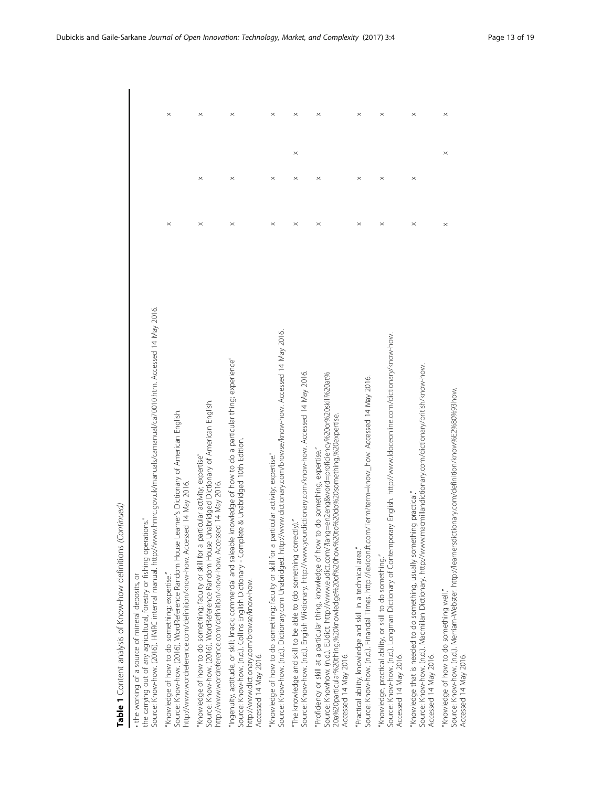| i                    |
|----------------------|
| ۱                    |
|                      |
|                      |
| ļ                    |
|                      |
| ١                    |
| l                    |
| ļ                    |
| ¢                    |
|                      |
| Š                    |
| ¢                    |
| ī                    |
|                      |
|                      |
| Í<br>١               |
| j<br>I               |
|                      |
| l                    |
|                      |
|                      |
| $\frac{1}{1}$        |
| Ç                    |
|                      |
| $\ddot{\phantom{0}}$ |
| l                    |
| ļ                    |
| j                    |
| ļ                    |
| j                    |
| Š                    |
|                      |
|                      |
|                      |
|                      |
|                      |
|                      |
|                      |
|                      |

| Source: Know-how. (2016). HMRC internal manual. http://www.hmrc.gov.uk/manuals/camanual/ca70010.htm. Accessed 14 May 2016.<br>the carrying out of any agricultural, forestry or fishing operations."<br>the working of a source of mineral deposits, or                                                               |          |                      |          |
|-----------------------------------------------------------------------------------------------------------------------------------------------------------------------------------------------------------------------------------------------------------------------------------------------------------------------|----------|----------------------|----------|
| Source: Know-how. (2016). WordReference Random House Learner's Dictionary of American English.<br>http://www.wordreference.com/definition/know-how. Accessed 14 May 2016.<br>Knowledge of how to do something; expertise.                                                                                             | $\times$ |                      | $\times$ |
| Source: Know-how. (2016). WordReference Random House Unabridged Dictionary of American English.<br>"Knowledge of how to do something; faculty or skill for a particular activity; expertise"<br>http://www.wordreference.com/definition/know-how. Accessed 14 May 2016.                                               | $\times$ | $\times$             | $\times$ |
| knowledge of how to do a particular thing; experience"<br>Source: Know-how. (n.d.). Collins English Dictionary - Complete & Unabridged 10th Edition.<br>"Ingenuity, aptitude, or skill; knack; commercial and saleable<br>http://www.dictionary.com/browse/know-how.<br>Accessed 14 May 2016.                         | $\times$ | $\times$             | $\times$ |
| Source: Know-how. (n.d.). Dictionary.com Unabridged. http://www.dictionary.com/browse/know-how. Accessed 14 May 2016.<br>"Knowledge of how to do something; faculty or skill for a particular activity; expertise."                                                                                                   | $\times$ | $\times$             | $\times$ |
| "The knowledge and skill to be able to (do something correctly)."<br>Source: Know-how. (n.d.). English Wiktionary. http://www.yourdictionary.com/know-how. Accessed 14 May 2016.                                                                                                                                      | $\times$ | $\times$<br>$\times$ | $\times$ |
| Source: Knowhow. (n.d.). EUdict. http://www.eudict.com/?lang=en2eng&word=proficiency%20or%20skill%20at%<br>20a%20particular%20thing,%20knowledge%20of%20how%20to%20do%20something,%20expertise<br>"Proficiency or skill at a particular thing, knowledge of how to do something, expertise."<br>Accessed 14 May 2016. | $\times$ | $\times$             | $\times$ |
| "Practical ability, knowledge and skill in a technical area."<br>Source: Know-how. (n.d.). Financial Times. http://lexicon.ft.com/Term?term=know_how. Accessed 14 May 2016.                                                                                                                                           | $\times$ | $\times$             | $\times$ |
| Source: Know-how. (n.d.). Longman Dictionary of Contemporary English. http://www.idoceonline.com/dictionary/know-how.<br>"Knowledge, practical ability, or skill to do something."<br>Accessed 14 May 2016.                                                                                                           | $\times$ | $\times$             | $\times$ |
| Source: Know-how. (n.d.). Macmillan Dictionary. http://www.macmillandictionary.com/dictionary/british/know-how.<br>"Knowledge that is needed to do something, usually something practical."<br>Accessed 14 May 2016.                                                                                                  | $\times$ | $\times$             | $\times$ |
| Source: Know-how. (n.d.). Merriam-Webster. http://learnersdictionary.com/definition/know%E2%80%93how.<br>"Knowledge of how to do something well."<br>Accessed 14 May 2016.                                                                                                                                            | $\times$ | $\times$             | $\times$ |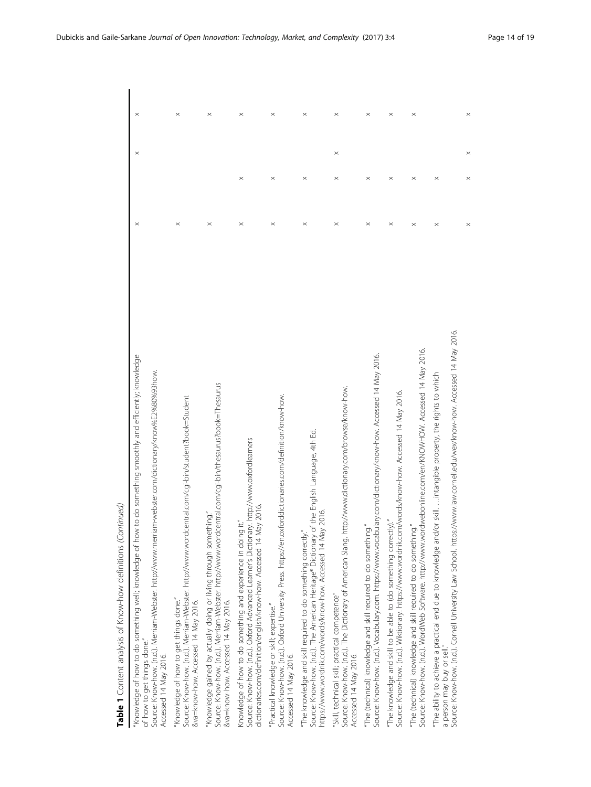| Table 1 Content analysis of Know-how definitions (Continued)                                                     |
|------------------------------------------------------------------------------------------------------------------|
| Fiv komulado<br>"Knowledge of how to do something well; knowledge of how to do something smoothly and efficient. |
| くべつい<br>of how to get things<br>コンプ ^^ ^^ ^^ ^^                                                                  |
| こうしょう アイス・ストール こうしょう こうしょう こうしょう こうしょう アイ・プレート こうしょう かんしょう こうしょう こうしょう こうしょう こうしょう こうしょう こうしょう こうしょう             |

| (Continued)<br>Table 1 Content analysis of Know-how definitions                                                                                                                                                                                                                |          |                      |          |
|--------------------------------------------------------------------------------------------------------------------------------------------------------------------------------------------------------------------------------------------------------------------------------|----------|----------------------|----------|
| "Knowledge of how to do something well; knowledge of how to do something smoothly and efficiently; knowledge<br>Source: Know-how. (n.d.). Merriam-Webster. http://www.merriam-webster.com/dictionary/know%E2%80%93how.<br>of how to get things done."<br>Accessed 14 May 2016. | $\times$ | $\times$             | $\times$ |
| Source: Know-how. (n.d.). Merriam-Webster. http://www.wordcentral.com/cgi-bin/student?book=Student<br>'Knowledge of how to get things done."<br>&va=know-how. Accessed 14 May 2016.                                                                                            | $\times$ |                      | $\times$ |
| Source: Know-how. (n.d.). Merriam-Webster. http://www.wordcentral.com/cgi-bin/thesaurus?book=Thesaurus<br>"Knowledge gained by actually doing or living through something."<br>&va=know-how. Accessed 14 May 2016.                                                             | $\times$ |                      | $\times$ |
| Source: Know-how. (n.d.). Oxford Advanced Learner's Dictionary. http://www.oxfordlearners<br>14 May 2016.<br>Knowledge of how to do something and experience in doing it."<br>dictionaries.com/definition/english/know-how. Accessed                                           | $\times$ | $\times$             | $\times$ |
| Source: Know-how. (n.d.). Oxford University Press. https://en.oxforddictionaries.com/definition/know-how.<br>'Practical knowledge or skill; expertise."<br>Accessed 14 May 2016.                                                                                               | $\times$ | $\times$             | $\times$ |
| Source: Know-how. (n.d.). The American Heritage® Dictionary of the English Language, 4th Ed.<br>https://www.wordnik.com/words/know-how. Accessed 14 May 2016.<br>"The knowledge and skill required to do something correctly."                                                 | $\times$ | $\times$             | $\times$ |
| Source: Know-how. (n.d.). The Dictionary of American Slang, http://www.dictionary.com/browse/know-how.<br>"Skill, technical skill; practical competence"<br>Accessed 14 May 2016.                                                                                              | $\times$ | $\times$<br>$\times$ | $\times$ |
| Source: Know-how. (n.d.). Vocabulary.com. https://www.vocabulary.com/dictionary/know-how. Accessed 14 May 2016.<br>"The (technical) knowledge and skill required to do something."                                                                                             | $\times$ | $\times$             | $\times$ |
| Source: Know-how. (n.d.). Wiktionary. https://www.wordnik.com/words/know-how. Accessed 14 May 2016.<br>"The knowledge and skill to be able to (do something correctly)."                                                                                                       | $\times$ | $\times$             | $\times$ |
| Source: Know-how. (n.d.). WordWeb Software. http://www.wordwebonline.com/en/KNOWHOW. Accessed 14 May 2016.<br>"The (technical) knowledge and skill required to do something."                                                                                                  | $\times$ | $\times$             | $\times$ |
| https://www.law.cornell.edu/wex/know-how. Accessed 14 May 2016.<br>and/or skill.  intangible property, the rights to which<br>The ability to achieve a practical end due to knowledge<br>Source: Know-how. (n.d.). Cornell University Law School.<br>a person may buy or sell  | $\times$ | $\times$             |          |

 $\times$   $\times$   $\times$ 

 $\times$ 

 $\times$ 

 $\times$ 

 $\times$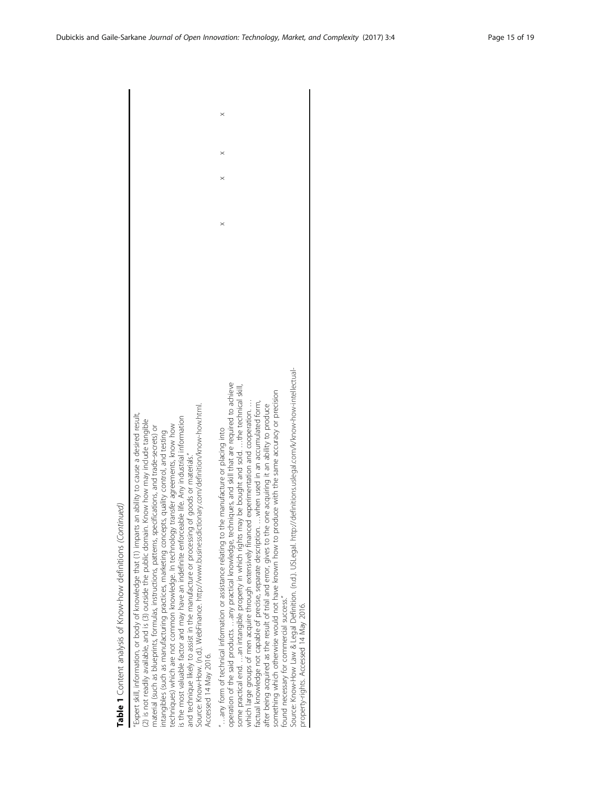| "Expert skill, information, or body of knowledge that (1) imparts an ability to cause a desired result,<br>(2) is not readily available, and is (3) outside the public domain. Know how may include tangible<br>terns, specifications, and trade-secrets) or<br>material (such as blueprints, formulas, instructions, pat                                                                                                                                                                                                                                                                                                                                                                                                                                                                                                                                                                                                                                          |          |   |
|--------------------------------------------------------------------------------------------------------------------------------------------------------------------------------------------------------------------------------------------------------------------------------------------------------------------------------------------------------------------------------------------------------------------------------------------------------------------------------------------------------------------------------------------------------------------------------------------------------------------------------------------------------------------------------------------------------------------------------------------------------------------------------------------------------------------------------------------------------------------------------------------------------------------------------------------------------------------|----------|---|
| Source: Know-How. (n.d.). WebFinance. http://www.businessdictionary.com/definition/know-how.html.<br>is the most valuable factor and may have an indefinite enforceable life. Any industrial information<br>techniques) which are not common knowledge. In technology transfer agreements, know how<br>intangibles (such as manufacturing practices, marketing concepts, quality control, and testing<br>and technique likely to assist in the manufacture or processing of goods or materials."<br>Accessed 14 May 2016.                                                                                                                                                                                                                                                                                                                                                                                                                                          |          |   |
| Source: Know-How Law & Legal Definition. (n.d.). USLegal. http://definitions.uslegal.com/k/know-how-intellectual-<br>edge, techniques, and skill that are required to achieve<br>some practical end. an intangible property in which rights may be bought and sold. the technical skill,<br>something which otherwise would not have known how to produce with the same accuracy or precision<br>which large groups of men acquire through extensively financed experimentation and cooperation<br>factual knowledge not capable of precise, separate description.  when used in an accumulated form,<br>after being acquired as the result of trial and error, gives to the one acquiring it an ability to produce<br>"any form of technical information or assistance relating to the manufacture or placing into<br>operation of the said products.  any practical knowle<br>found necessary for commercial success."<br>property-rights. Accessed 14 May 2016. | $\times$ | × |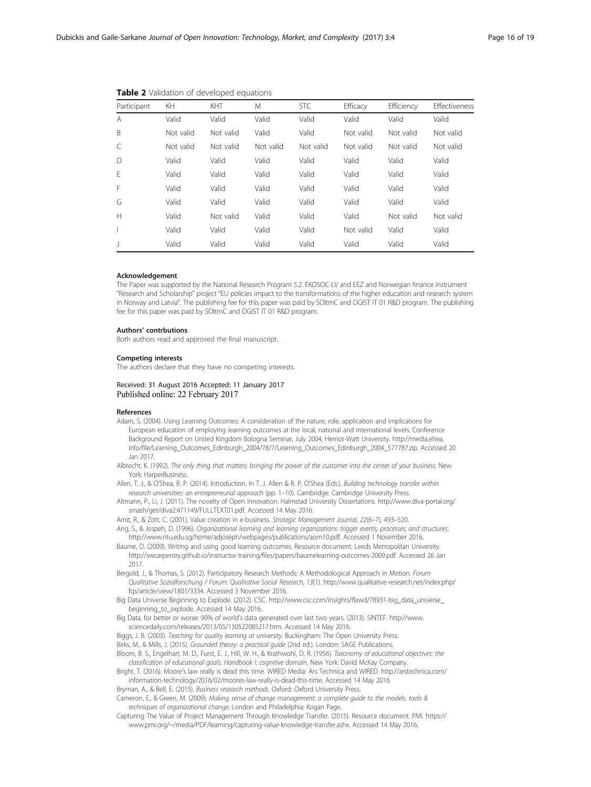| Participant    | KH        | KHT       | M         | <b>STC</b> | Efficacy  | Efficiency | Effectiveness |
|----------------|-----------|-----------|-----------|------------|-----------|------------|---------------|
| $\overline{A}$ | Valid     | Valid     | Valid     | Valid      | Valid     | Valid      | Valid         |
| B              | Not valid | Not valid | Valid     | Valid      | Not valid | Not valid  | Not valid     |
| C              | Not valid | Not valid | Not valid | Not valid  | Not valid | Not valid  | Not valid     |
| D              | Valid     | Valid     | Valid     | Valid      | Valid     | Valid      | Valid         |
| F              | Valid     | Valid     | Valid     | Valid      | Valid     | Valid      | Valid         |
| F              | Valid     | Valid     | Valid     | Valid      | Valid     | Valid      | Valid         |
| G              | Valid     | Valid     | Valid     | Valid      | Valid     | Valid      | Valid         |
| H              | Valid     | Not valid | Valid     | Valid      | Valid     | Not valid  | Not valid     |
| $\mathsf{I}$   | Valid     | Valid     | Valid     | Valid      | Not valid | Valid      | Valid         |
| J              | Valid     | Valid     | Valid     | Valid      | Valid     | Valid      | Valid         |

<span id="page-15-0"></span>

#### Acknowledgement

The Paper was supported by the National Research Program 5.2. EKOSOC-LV and EEZ and Norwegian finance instrument "Research and Scholarship" project "EU policies impact to the transformations of the higher education and research system in Norway and Latvia". The publishing fee for this paper was paid by SOItmC and DGIST IT 01 R&D program. The publishing fee for this paper was paid by SOItmC and DGIST IT 01 R&D program.

#### Authors' contrbutions

Both authors read and approved the final manuscript.

#### Competing interests

The authors declare that they have no competing interests.

Received: 31 August 2016 Accepted: 11 January 2017

#### References

- Adam, S. (2004). Using Learning Outcomes: A consideration of the nature, role, application and implications for European education of employing learning outcomes at the local, national and international levels. Conference Background Report on United Kingdom Bologna Seminar, July 2004, Herriot-Watt University. [http://media.ehea.](http://media.ehea.info/file/Learning_Outcomes_Edinburgh_2004/78/7/Learning_Outcomes_Edinburgh_2004_577787.zip) [info/file/Learning\\_Outcomes\\_Edinburgh\\_2004/78/7/Learning\\_Outcomes\\_Edinburgh\\_2004\\_577787.zip.](http://media.ehea.info/file/Learning_Outcomes_Edinburgh_2004/78/7/Learning_Outcomes_Edinburgh_2004_577787.zip) Accessed 20 Jan 2017.
- Albrecht, K. (1992). The only thing that matters: bringing the power of the customer into the center of your business. New York: HarperBusiness.
- Allen, T. J., & O'Shea, R. P. (2014). Introduction. In T. J. Allen & R. P. O'Shea (Eds.), Building technology transfer within research universities: an entrepreneurial approach (pp. 1–10). Cambridge: Cambridge University Press.

Altmann, P., Li, J. (2011). The novelty of Open Innovation. Halmstad University Dissertations. [http://www.diva-portal.org/](http://www.diva-portal.org/smash/get/diva2:471149/FULLTEXT01.pdf) [smash/get/diva2:471149/FULLTEXT01.pdf.](http://www.diva-portal.org/smash/get/diva2:471149/FULLTEXT01.pdf) Accessed 14 May 2016.

Amit, R., & Zott, C. (2001). Value creation in e-business. Strategic Management Journal, 22(6–7), 493–520. Ang, S., & Jospeh, D. (1996). Organizational learning and learning organizations: trigger events, processes, and structures.

- [http://www.ntu.edu.sg/home/adjoseph/webpages/publications/aom10.pdf.](http://www.ntu.edu.sg/home/adjoseph/webpages/publications/aom10.pdf) Accessed 1 November 2016.
- Baume, D. (2009). Writing and using good learning outcomes. Resource document. Leeds Metropolitan University. [http://swcarpentry.github.io/instructor-training/files/papers/baumelearning-outcomes-2009.pdf.](http://swcarpentry.github.io/instructor-training/files/papers/baumelearning-outcomes-2009.pdf) Accessed 26 Jan 2017.
- Bergold, J., & Thomas, S. (2012). Participatory Research Methods: A Methodological Approach in Motion. Forum Qualitative Sozialforschung / Forum: Qualitative Social Research, 13(1). [http://www.qualitative-research.net/index.php/](http://www.qualitative-research.net/index.php/fqs/article/view/1801/3334) [fqs/article/view/1801/3334](http://www.qualitative-research.net/index.php/fqs/article/view/1801/3334). Accessed 3 November 2016.
- Big Data Universe Beginning to Explode. (2012). CSC. [http://www.csc.com/insights/flxwd/78931-big\\_data\\_universe\\_](http://www.csc.com/insights/flxwd/78931-big_data_universe_beginning_to_explode) beginning to explode. Accessed 14 May 2016.
- Big Data, for better or worse: 90% of world's data generated over last two years. (2013). SINTEF. [http://www.](http://www.sciencedaily.com/releases/2013/05/130522085217.htm) [sciencedaily.com/releases/2013/05/130522085217.htm.](http://www.sciencedaily.com/releases/2013/05/130522085217.htm) Accessed 14 May 2016.

Biggs, J. B. (2003). Teaching for quality learning at university. Buckingham: The Open University Press.

Birks, M., & Mills, J. (2015). Grounded theory: a practical guide (2nd ed.). London: SAGE Publications.

- Bloom, B. S., Engelhart, M. D., Furst, E. J., Hill, W. H., & Krathwohl, D. R. (1956). Taxonomy of educational objectives: the classification of educational goals. Handbook I: cognitive domain. New York: David McKay Company.
- Bright, T. (2016). Moore's law really is dead this time. WIRED Media: Ars Technica and WIRED. [http://arstechnica.com/](http://arstechnica.com/information-technology/2016/02/moores-law-really-is-dead-this-time) [information-technology/2016/02/moores-law-really-is-dead-this-time.](http://arstechnica.com/information-technology/2016/02/moores-law-really-is-dead-this-time) Accessed 14 May 2016

Bryman, A., & Bell, E. (2015). Business research methods. Oxford: Oxford University Press.

Cameron, E., & Green, M. (2009). Making sense of change management: a complete guide to the models, tools & techniques of organizational change. London and Philadelphia: Kogan Page.

Capturing The Value of Project Management Through Knowledge Transfer. (2015). Resource document. PMI. [https://](https://www.pmi.org/~/media/PDF/learning/capturing-value-knowledge-transfer.ashx) [www.pmi.org/~/media/PDF/learning/capturing-value-knowledge-transfer.ashx.](https://www.pmi.org/~/media/PDF/learning/capturing-value-knowledge-transfer.ashx) Accessed 14 May 2016.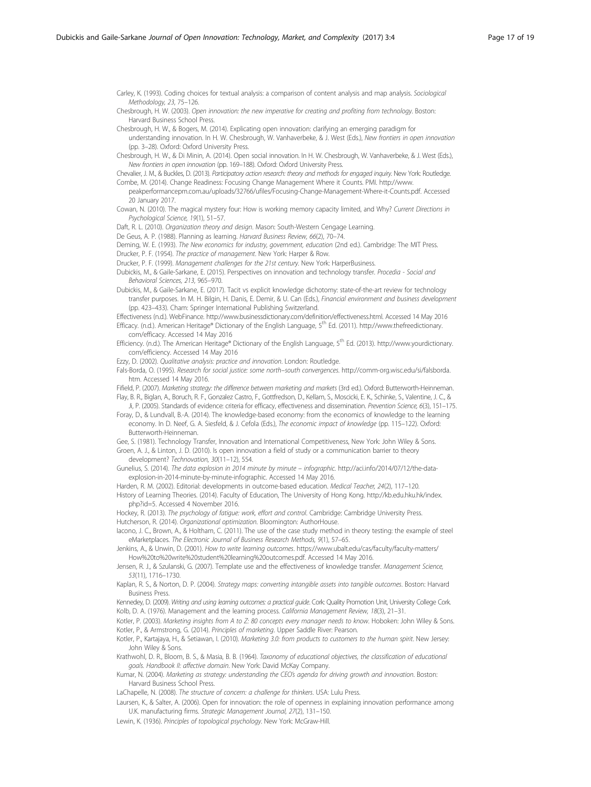<span id="page-16-0"></span>Carley, K. (1993). Coding choices for textual analysis: a comparison of content analysis and map analysis. Sociological Methodology, 23, 75–126.

Chesbrough, H. W. (2003). Open innovation: the new imperative for creating and profiting from technology. Boston: Harvard Business School Press.

Chesbrough, H. W., & Bogers, M. (2014). Explicating open innovation: clarifying an emerging paradigm for understanding innovation. In H. W. Chesbrough, W. Vanhaverbeke, & J. West (Eds.), New frontiers in open innovation (pp. 3–28). Oxford: Oxford University Press.

Chesbrough, H. W., & Di Minin, A. (2014). Open social innovation. In H. W. Chesbrough, W. Vanhaverbeke, & J. West (Eds.), New frontiers in open innovation (pp. 169–188). Oxford: Oxford University Press.

Chevalier, J. M., & Buckles, D. (2013). Participatory action research: theory and methods for engaged inquiry. New York: Routledge. Combe, M. (2014). Change Readiness: Focusing Change Management Where it Counts. PMI. [http://www.](http://www.peakperformancepm.com.au/uploads/32766/ufiles/Focusing-Change-Management-Where-it-Counts.pdf)

[peakperformancepm.com.au/uploads/32766/ufiles/Focusing-Change-Management-Where-it-Counts.pdf.](http://www.peakperformancepm.com.au/uploads/32766/ufiles/Focusing-Change-Management-Where-it-Counts.pdf) Accessed 20 January 2017.

Cowan, N. (2010). The magical mystery four: How is working memory capacity limited, and Why? Current Directions in Psychological Science, 19(1), 51–57.

Daft, R. L. (2010). Organization theory and design. Mason: South-Western Cengage Learning.

De Geus, A. P. (1988). Planning as learning. Harvard Business Review, 66(2), 70–74.

Deming, W. E. (1993). The New economics for industry, government, education (2nd ed.). Cambridge: The MIT Press.

Drucker, P. F. (1954). The practice of management. New York: Harper & Row.

Drucker, P. F. (1999). Management challenges for the 21st century. New York: HarperBusiness.

Dubickis, M., & Gaile-Sarkane, E. (2015). Perspectives on innovation and technology transfer. Procedia - Social and Behavioral Sciences, 213, 965–970.

- Dubickis, M., & Gaile-Sarkane, E. (2017). Tacit vs explicit knowledge dichotomy: state-of-the-art review for technology transfer purposes. In M. H. Bilgin, H. Danis, E. Demir, & U. Can (Eds.), Financial environment and business development (pp. 423–433). Cham: Springer International Publishing Switzerland.
- Effectiveness (n.d.). WebFinance.<http://www.businessdictionary.com/definition/effectiveness.html>. Accessed 14 May 2016
- Efficacy. (n.d.). American Heritage® Dictionary of the English Language, 5<sup>th</sup> Ed. (2011). [http://www.thefreedictionary.](http://www.thefreedictionary.com/efficacy) [com/efficacy.](http://www.thefreedictionary.com/efficacy) Accessed 14 May 2016

Efficiency. (n.d.). The American Heritage® Dictionary of the English Language, 5th Ed. (2013). [http://www.yourdictionary.](http://www.yourdictionary.com/efficiency) [com/efficiency](http://www.yourdictionary.com/efficiency). Accessed 14 May 2016

Ezzy, D. (2002). Qualitative analysis: practice and innovation. London: Routledge.

Fals-Borda, O. (1995). Research for social justice: some north–south convergences. [http://comm-org.wisc.edu/si/falsborda.](http://comm-org.wisc.edu/si/falsborda.htm) [htm](http://comm-org.wisc.edu/si/falsborda.htm). Accessed 14 May 2016.

Fifield, P. (2007). Marketing strategy: the difference between marketing and markets (3rd ed.). Oxford: Butterworth-Heinneman. Flay, B. R., Biglan, A., Boruch, R. F., Gonzalez Castro, F., Gottfredson, D., Kellam, S., Moscicki, E. K., Schinke, S., Valentine, J. C., &

Ji, P. (2005). Standards of evidence: criteria for efficacy, effectiveness and dissemination. Prevention Science, 6(3), 151-175. Foray, D., & Lundvall, B.-A. (2014). The knowledge-based economy: from the economics of knowledge to the learning economy. In D. Neef, G. A. Siesfeld, & J. Cefola (Eds.), The economic impact of knowledge (pp. 115–122). Oxford:

Butterworth-Heinneman.

Gee, S. (1981). Technology Transfer, Innovation and International Competitiveness, New York: John Wiley & Sons. Groen, A. J., & Linton, J. D. (2010). Is open innovation a field of study or a communication barrier to theory

development? Technovation, 30(11–12), 554. Gunelius, S. (2014). The data explosion in 2014 minute by minute – infographic. [http://aci.info/2014/07/12/the-data-](http://aci.info/2014/07/12/the-data-explosion-in-2014-minute-by-minute-infographic)

[explosion-in-2014-minute-by-minute-infographic](http://aci.info/2014/07/12/the-data-explosion-in-2014-minute-by-minute-infographic). Accessed 14 May 2016.

Harden, R. M. (2002). Editorial: developments in outcome-based education. Medical Teacher, 24(2), 117–120.

History of Learning Theories. (2014). Faculty of Education, The University of Hong Kong. [http://kb.edu.hku.hk/index.](http://kb.edu.hku.hk/index.php?id=5) [php?id=5.](http://kb.edu.hku.hk/index.php?id=5) Accessed 4 November 2016.

Hockey, R. (2013). The psychology of fatigue: work, effort and control. Cambridge: Cambridge University Press. Hutcherson, R. (2014). Organizational optimization. Bloomington: AuthorHouse.

Iacono, J. C., Brown, A., & Holtham, C. (2011). The use of the case study method in theory testing: the example of steel eMarketplaces. The Electronic Journal of Business Research Methods, 9(1), 57–65.

Jenkins, A., & Unwin, D. (2001). How to write learning outcomes. [https://www.ubalt.edu/cas/faculty/faculty-matters/](https://www.ubalt.edu/cas/faculty/faculty-matters/How%20to%20write%20student%20learning%20outcomes.pdf) [How%20to%20write%20student%20learning%20outcomes.pdf](https://www.ubalt.edu/cas/faculty/faculty-matters/How%20to%20write%20student%20learning%20outcomes.pdf). Accessed 14 May 2016.

Jensen, R. J., & Szulanski, G. (2007). Template use and the effectiveness of knowledge transfer. Management Science, 53(11), 1716–1730.

Kaplan, R. S., & Norton, D. P. (2004). Strategy maps: converting intangible assets into tangible outcomes. Boston: Harvard Business Press.

Kennedey, D. (2009). Writing and using learning outcomes: a practical guide. Cork: Quality Promotion Unit, University College Cork. Kolb, D. A. (1976). Management and the learning process. California Management Review, 18(3), 21-31.

Kotler, P. (2003). Marketing insights from A to Z: 80 concepts every manager needs to know. Hoboken: John Wiley & Sons. Kotler, P., & Armstrong, G. (2014). Principles of marketing. Upper Saddle River: Pearson.

Kotler, P., Kartajaya, H., & Setiawan, I. (2010). Marketing 3.0: from products to customers to the human spirit. New Jersey: John Wiley & Sons.

Krathwohl, D. R., Bloom, B. S., & Masia, B. B. (1964). Taxonomy of educational objectives, the classification of educational goals. Handbook II: affective domain. New York: David McKay Company.

Kumar, N. (2004). Marketing as strategy: understanding the CEO's agenda for driving growth and innovation. Boston: Harvard Business School Press.

LaChapelle, N. (2008). The structure of concern: a challenge for thinkers. USA: Lulu Press.

Laursen, K., & Salter, A. (2006). Open for innovation: the role of openness in explaining innovation performance among U.K. manufacturing firms. Strategic Management Journal, 27(2), 131–150.

Lewin, K. (1936). Principles of topological psychology. New York: McGraw-Hill.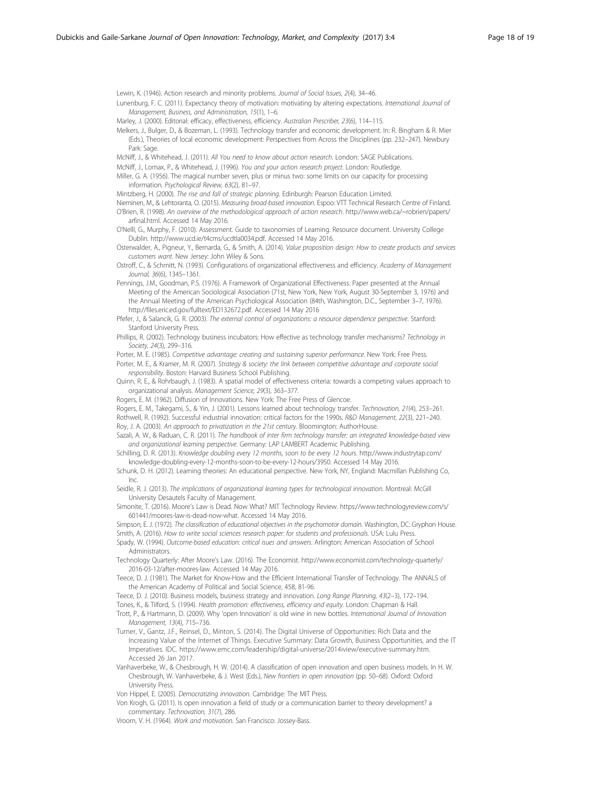<span id="page-17-0"></span>Lewin, K. (1946). Action research and minority problems. Journal of Social Issues, 2(4), 34–46.

Lunenburg, F. C. (2011). Expectancy theory of motivation: motivating by altering expectations. International Journal of Management, Business, and Administration, 15(1), 1–6.

Marley, J. (2000). Editorial: efficacy, effectiveness, efficiency. Australian Prescriber, 23(6), 114–115.

- Melkers, J., Bulger, D., & Bozeman, L. (1993). Technology transfer and economic development. In: R. Bingham & R. Mier (Eds.), Theories of local economic development: Perspectives from Across the Disciplines (pp. 232–247). Newbury Park: Sage
- McNiff, J., & Whitehead, J. (2011). All You need to know about action research. London: SAGE Publications.
- McNiff, J., Lomax, P., & Whitehead, J. (1996). You and your action research project. London: Routledge.
- Miller, G. A. (1956). The magical number seven, plus or minus two: some limits on our capacity for processing information. Psychological Review, 63(2), 81–97.
- Mintzberg, H. (2000). The rise and fall of strategic planning. Edinburgh: Pearson Education Limited.
- Nieminen, M., & Lehtoranta, O. (2015). Measuring broad-based innovation. Espoo: VTT Technical Research Centre of Finland. O'Brien, R. (1998). An overview of the methodological approach of action research. [http://www.web.ca/~robrien/papers/](http://www.web.ca/~robrien/papers/arfinal.html) [arfinal.html](http://www.web.ca/~robrien/papers/arfinal.html). Accessed 14 May 2016.
- O'Nelll, G., Murphy, F. (2010). Assessment. Guide to taxonomies of Learning. Resource document. University College Dublin. [http://www.ucd.ie/t4cms/ucdtla0034.pdf.](http://www.ucd.ie/t4cms/ucdtla0034.pdf) Accessed 14 May 2016.
- Osterwalder, A., Pigneur, Y., Bernarda, G., & Smith, A. (2014). Value proposition design: How to create products and services customers want. New Jersey: John Wiley & Sons.
- Ostroff, C., & Schmitt, N. (1993). Configurations of organizational effectiveness and efficiency. Academy of Management Journal, 36(6), 1345–1361.
- Pennings, J.M., Goodman, P.S. (1976). A Framework of Organizational Effectiveness. Paper presented at the Annual Meeting of the American Sociological Association (71st, New York, New York, August 30-September 3, 1976) and the Annual Meeting of the American Psychological Association (84th, Washington, D.C., September 3–7, 1976). [http://files.eric.ed.gov/fulltext/ED132672.pdf.](http://files.eric.ed.gov/fulltext/ED132672.pdf) Accessed 14 May 2016
- Pfefer, J., & Salancik, G. R. (2003). The external control of organizations: a resource dependence perspective. Stanford: Stanford University Press.
- Phillips, R. (2002). Technology business incubators: How effective as technology transfer mechanisms? Technology in Society, 24(3), 299–316.
- Porter, M. E. (1985). Competitive advantage: creating and sustaining superior performance. New York: Free Press.
- Porter, M. E., & Kramer, M. R. (2007). Strategy & society: the link between competitive advantage and corporate social responsibility. Boston: Harvard Business School Publishing.
- Quinn, R. E., & Rohrbaugh, J. (1983). A spatial model of effectiveness criteria: towards a competing values approach to organizational analysis. Management Science, 29(3), 363–377.
- Rogers, E. M. (1962). Diffusion of Innovations. New York: The Free Press of Glencoe.
- Rogers, E. M., Takegami, S., & Yin, J. (2001). Lessons learned about technology transfer. Technovation, 21(4), 253–261. Rothwell, R. (1992). Successful industrial innovation: critical factors for the 1990s. R&D Management, 22(3), 221–240.
- Roy, J. A. (2003). An approach to privatization in the 21st century. Bloomington: AuthorHouse.
- Sazali, A. W., & Raduan, C. R. (2011). The handbook of inter firm technology transfer: an integrated knowledge-based view and organizational learning perspective. Germany: LAP LAMBERT Academic Publishing.
- Schilling, D. R. (2013). Knowledge doubling every 12 months, soon to be every 12 hours. [http://www.industrytap.com/](http://www.industrytap.com/knowledge-doubling-every-12-months-soon-to-be-every-12-hours/3950) [knowledge-doubling-every-12-months-soon-to-be-every-12-hours/3950](http://www.industrytap.com/knowledge-doubling-every-12-months-soon-to-be-every-12-hours/3950). Accessed 14 May 2016.
- Schunk, D. H. (2012). Learning theories: An educational perspective. New York, NY, England: Macmillan Publishing Co, Inc.
- Seidle, R. J. (2013). The implications of organizational learning types for technological innovation. Montreal: McGill University Desautels Faculty of Management.
- Simonite, T. (2016). Moore's Law is Dead. Now What? MIT Technology Review. [https://www.technologyreview.com/s/](https://www.technologyreview.com/s/601441/moores-law-is-dead-now-what) [601441/moores-law-is-dead-now-what.](https://www.technologyreview.com/s/601441/moores-law-is-dead-now-what) Accessed 14 May 2016.
- Simpson, E. J. (1972). The classification of educational objectives in the psychomotor domain. Washington, DC: Gryphon House. Smith, A. (2016). How to write social sciences research paper: for students and professionals. USA: Lulu Press.
- Spady, W. (1994). Outcome-based education: critical isues and answers. Arlington: American Association of School Administrators.
- Technology Quarterly: After Moore's Law. (2016). The Economist. [http://www.economist.com/technology-quarterly/](http://www.economist.com/technology-quarterly/2016-03-12/after-moores-law) [2016-03-12/after-moores-law.](http://www.economist.com/technology-quarterly/2016-03-12/after-moores-law) Accessed 14 May 2016.
- Teece, D. J. (1981). The Market for Know-How and the Efficient International Transfer of Technology. The ANNALS of the American Academy of Political and Social Science, 458, 81-96.
- Teece, D. J. (2010). Business models, business strategy and innovation. Long Range Planning, 43(2–3), 172–194.
- Tones, K., & Tilford, S. (1994). Health promotion: effectiveness, efficiency and equity. London: Chapman & Hall.
- Trott, P., & Hartmann, D. (2009). Why 'open Innovation' is old wine in new bottles. International Journal of Innovation Management, 13(4), 715–736.
- Turner, V., Gantz, J.F., Reinsel, D., Minton, S. (2014). The Digital Universe of Opportunities: Rich Data and the Increasing Value of the Internet of Things. Executive Summary: Data Growth, Business Opportunities, and the IT Imperatives. IDC. [https://www.emc.com/leadership/digital-universe/2014iview/executive-summary.htm.](https://www.emc.com/leadership/digital-universe/2014iview/executive-summary.htm) Accessed 26 Jan 2017.
- Vanhaverbeke, W., & Chesbrough, H. W. (2014). A classification of open innovation and open business models. In H. W. Chesbrough, W. Vanhaverbeke, & J. West (Eds.), New frontiers in open innovation (pp. 50–68). Oxford: Oxford University Press.
- Von Hippel, E. (2005). Democratizing innovation. Cambridge: The MIT Press.
- Von Krogh, G. (2011). Is open innovation a field of study or a communication barrier to theory development? a commentary. Technovation, 31(7), 286.
- Vroom, V. H. (1964). Work and motivation. San Francisco: Jossey-Bass.